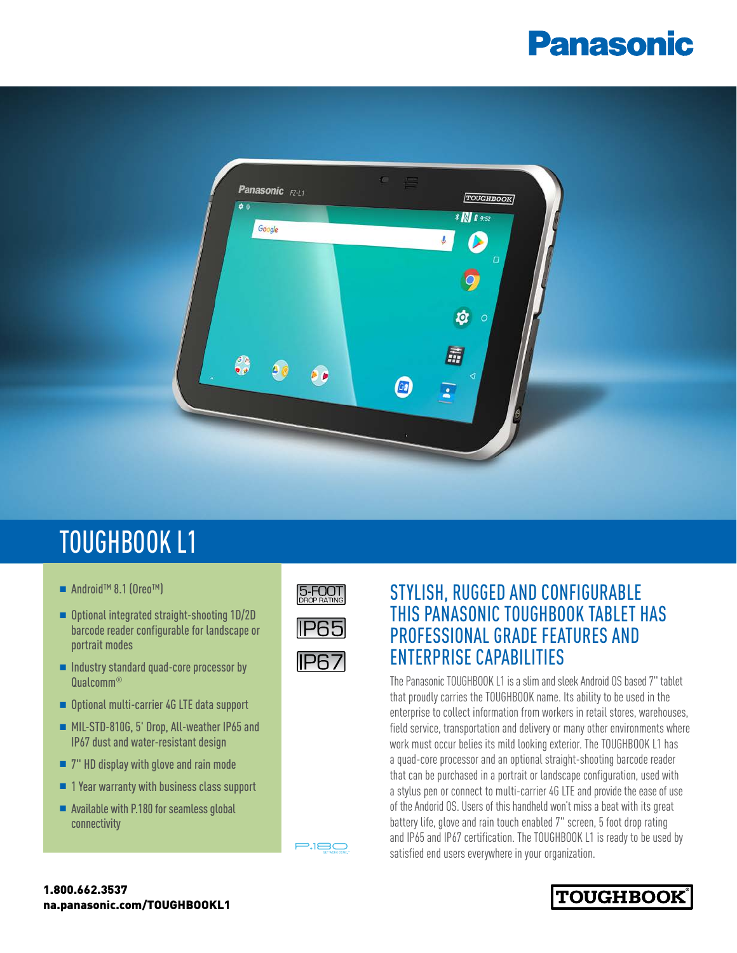## **Panasonic**



## TOUGHBOOK L1

- Android™ 8.1 (Oreo™)
- Optional integrated straight-shooting 1D/2D barcode reader configurable for landscape or portrait modes
- $\blacksquare$  Industry standard quad-core processor by Qualcomm®
- Optional multi-carrier 4G LTE data support
- MIL-STD-810G, 5' Drop, All-weather IP65 and IP67 dust and water-resistant design
- $\blacksquare$  7" HD display with glove and rain mode
- $\blacksquare$  1 Year warranty with business class support
- $\blacksquare$  Available with P.180 for seamless global connectivity



**IP67** 

 $P$ 



The Panasonic TOUGHBOOK L1 is a slim and sleek Android OS based 7" tablet that proudly carries the TOUGHBOOK name. Its ability to be used in the enterprise to collect information from workers in retail stores, warehouses, field service, transportation and delivery or many other environments where work must occur belies its mild looking exterior. The TOUGHBOOK L1 has a quad-core processor and an optional straight-shooting barcode reader that can be purchased in a portrait or landscape configuration, used with a stylus pen or connect to multi-carrier 4G LTE and provide the ease of use of the Andorid OS. Users of this handheld won't miss a beat with its great battery life, glove and rain touch enabled 7" screen, 5 foot drop rating and IP65 and IP67 certification. The TOUGHBOOK L1 is ready to be used by satisfied end users everywhere in your organization.